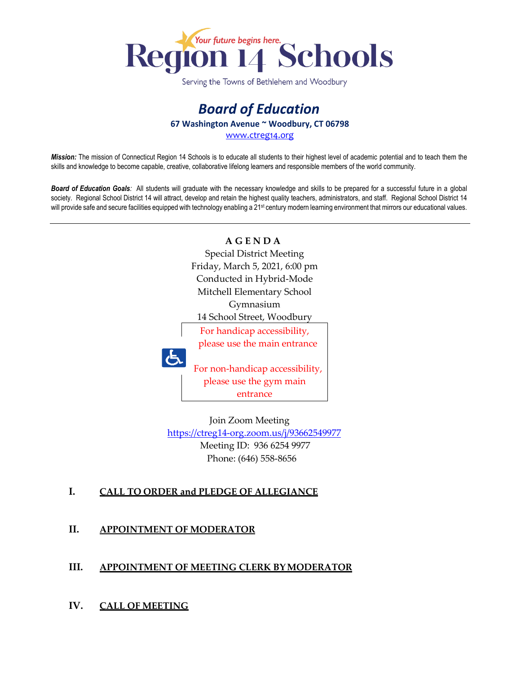

Serving the Towns of Bethlehem and Woodbury

## *Board of Education* **67 Washington Avenue ~ Woodbury, CT 06798**

[www.ctreg14.org](http://www.ctreg14.org/)

*Mission:* The mission of Connecticut Region 14 Schools is to educate all students to their highest level of academic potential and to teach them the skills and knowledge to become capable, creative, collaborative lifelong learners and responsible members of the world community.

*Board of Education Goals:* All students will graduate with the necessary knowledge and skills to be prepared for a successful future in a global society. Regional School District 14 will attract, develop and retain the highest quality teachers, administrators, and staff. Regional School District 14 will provide safe and secure facilities equipped with technology enabling a 21<sup>st</sup> century modern learning environment that mirrors our educational values.



 Join Zoom Meeting <https://ctreg14-org.zoom.us/j/93662549977> Meeting ID: 936 6254 9977 Phone: (646) 558-8656

### **I. CALL TO ORDER and PLEDGE OF ALLEGIANCE**

**II. APPOINTMENT OF MODERATOR**

#### **III. APPOINTMENT OF MEETING CLERK BYMODERATOR**

**IV. CALL OF MEETING**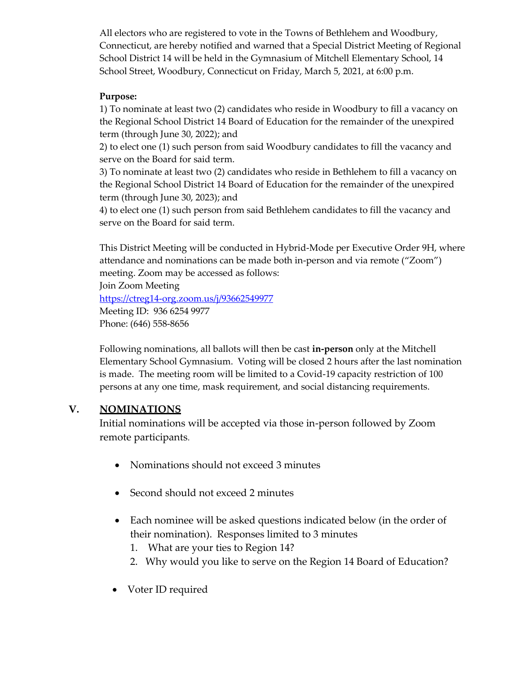All electors who are registered to vote in the Towns of Bethlehem and Woodbury, Connecticut, are hereby notified and warned that a Special District Meeting of Regional School District 14 will be held in the Gymnasium of Mitchell Elementary School, 14 School Street, Woodbury, Connecticut on Friday, March 5, 2021, at 6:00 p.m.

#### **Purpose:**

1) To nominate at least two (2) candidates who reside in Woodbury to fill a vacancy on the Regional School District 14 Board of Education for the remainder of the unexpired term (through June 30, 2022); and

2) to elect one (1) such person from said Woodbury candidates to fill the vacancy and serve on the Board for said term.

3) To nominate at least two (2) candidates who reside in Bethlehem to fill a vacancy on the Regional School District 14 Board of Education for the remainder of the unexpired term (through June 30, 2023); and

4) to elect one (1) such person from said Bethlehem candidates to fill the vacancy and serve on the Board for said term.

This District Meeting will be conducted in Hybrid-Mode per Executive Order 9H, where attendance and nominations can be made both in-person and via remote ("Zoom") meeting. Zoom may be accessed as follows:

Join Zoom Meeting <https://ctreg14-org.zoom.us/j/93662549977> Meeting ID: 936 6254 9977 Phone: (646) 558-8656

Following nominations, all ballots will then be cast **in-person** only at the Mitchell Elementary School Gymnasium. Voting will be closed 2 hours after the last nomination is made. The meeting room will be limited to a Covid-19 capacity restriction of 100 persons at any one time, mask requirement, and social distancing requirements.

### **V. NOMINATIONS**

Initial nominations will be accepted via those in-person followed by Zoom remote participants.

- Nominations should not exceed 3 minutes
- Second should not exceed 2 minutes
- Each nominee will be asked questions indicated below (in the order of their nomination). Responses limited to 3 minutes
	- 1. What are your ties to Region 14?
	- 2. Why would you like to serve on the Region 14 Board of Education?
- Voter ID required